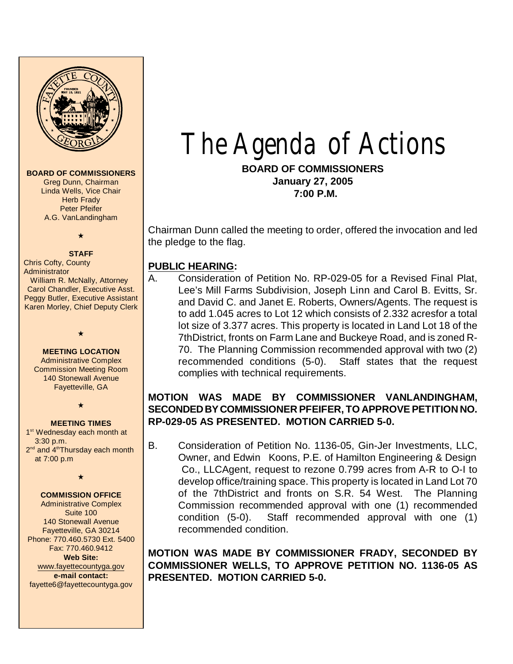

#### **BOARD OF COMMISSIONERS**

Greg Dunn, Chairman Linda Wells, Vice Chair **Herb Frady** Peter Pfeifer A.G. VanLandingham

# $\star$

#### **STAFF**

Chris Cofty, County Administrator William R. McNally, Attorney Carol Chandler, Executive Asst. Peggy Butler, Executive Assistant Karen Morley, Chief Deputy Clerk

#### **MEETING LOCATION**

 $\star$ 

Administrative Complex Commission Meeting Room 140 Stonewall Avenue Fayetteville, GA

 $\star$ 

#### **MEETING TIMES**

1<sup>st</sup> Wednesday each month at 3:30 p.m. 2<sup>nd</sup> and 4<sup>th</sup>Thursday each month at 7:00 p.m

 $\star$ 

#### **COMMISSION OFFICE**

Administrative Complex Suite 100 140 Stonewall Avenue Fayetteville, GA 30214 Phone: 770.460.5730 Ext. 5400 Fax: 770.460.9412 **Web Site:** [www.fayettecountyga.gov](http://www.admin.co.fayette.ga.us) **e-mail contact:** fayette6@fayettecountyga.gov

# The Agenda of Actions

**BOARD OF COMMISSIONERS January 27, 2005 7:00 P.M.**

Chairman Dunn called the meeting to order, offered the invocation and led the pledge to the flag.

#### **PUBLIC HEARING:**

A. Consideration of Petition No. RP-029-05 for a Revised Final Plat, Lee's Mill Farms Subdivision, Joseph Linn and Carol B. Evitts, Sr. and David C. and Janet E. Roberts, Owners/Agents. The request is to add 1.045 acres to Lot 12 which consists of 2.332 acresfor a total lot size of 3.377 acres. This property is located in Land Lot 18 of the 7thDistrict, fronts on Farm Lane and Buckeye Road, and is zoned R-70. The Planning Commission recommended approval with two (2) recommended conditions (5-0). Staff states that the request complies with technical requirements.

# **MOTION WAS MADE BY COMMISSIONER VANLANDINGHAM, SECONDED BY COMMISSIONER PFEIFER, TO APPROVE PETITION NO. RP-029-05 AS PRESENTED. MOTION CARRIED 5-0.**

B. Consideration of Petition No. 1136-05, Gin-Jer Investments, LLC, Owner, and Edwin Koons, P.E. of Hamilton Engineering & Design Co., LLCAgent, request to rezone 0.799 acres from A-R to O-I to develop office/training space. This property is located in Land Lot 70 of the 7thDistrict and fronts on S.R. 54 West.The Planning Commission recommended approval with one (1) recommended condition (5-0). Staff recommended approval with one (1) recommended condition.

**MOTION WAS MADE BY COMMISSIONER FRADY, SECONDED BY COMMISSIONER WELLS, TO APPROVE PETITION NO. 1136-05 AS PRESENTED. MOTION CARRIED 5-0.**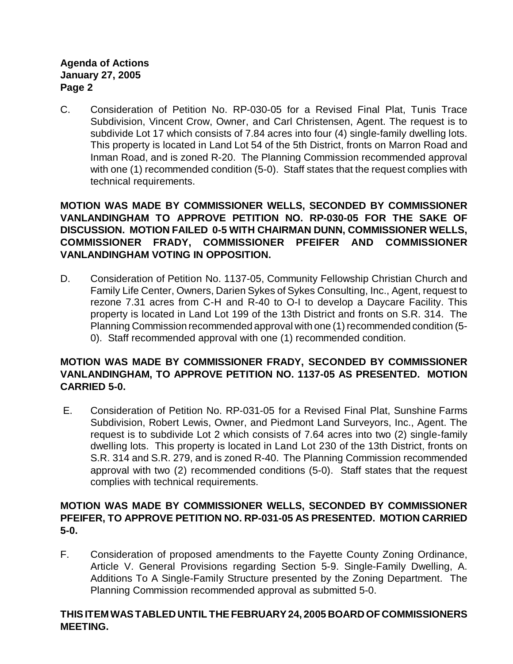C. Consideration of Petition No. RP-030-05 for a Revised Final Plat, Tunis Trace Subdivision, Vincent Crow, Owner, and Carl Christensen, Agent. The request is to subdivide Lot 17 which consists of 7.84 acres into four (4) single-family dwelling lots. This property is located in Land Lot 54 of the 5th District, fronts on Marron Road and Inman Road, and is zoned R-20.The Planning Commission recommended approval with one (1) recommended condition (5-0). Staff states that the request complies with technical requirements.

**MOTION WAS MADE BY COMMISSIONER WELLS, SECONDED BY COMMISSIONER VANLANDINGHAM TO APPROVE PETITION NO. RP-030-05 FOR THE SAKE OF DISCUSSION. MOTION FAILED 0-5 WITH CHAIRMAN DUNN, COMMISSIONER WELLS, COMMISSIONER FRADY, COMMISSIONER PFEIFER AND COMMISSIONER VANLANDINGHAM VOTING IN OPPOSITION.**

D. Consideration of Petition No. 1137-05, Community Fellowship Christian Church and Family Life Center, Owners, Darien Sykes of Sykes Consulting, Inc., Agent, request to rezone 7.31 acres from C-H and R-40 to O-I to develop a Daycare Facility. This property is located in Land Lot 199 of the 13th District and fronts on S.R. 314. The Planning Commission recommended approval with one (1) recommended condition (5- 0). Staff recommended approval with one (1) recommended condition.

# **MOTION WAS MADE BY COMMISSIONER FRADY, SECONDED BY COMMISSIONER VANLANDINGHAM, TO APPROVE PETITION NO. 1137-05 AS PRESENTED. MOTION CARRIED 5-0.**

E. Consideration of Petition No. RP-031-05 for a Revised Final Plat, Sunshine Farms Subdivision, Robert Lewis, Owner, and Piedmont Land Surveyors, Inc., Agent. The request is to subdivide Lot 2 which consists of 7.64 acres into two (2) single-family dwelling lots. This property is located in Land Lot 230 of the 13th District, fronts on S.R. 314 and S.R. 279, and is zoned R-40. The Planning Commission recommended approval with two (2) recommended conditions (5-0). Staff states that the request complies with technical requirements.

# **MOTION WAS MADE BY COMMISSIONER WELLS, SECONDED BY COMMISSIONER PFEIFER, TO APPROVE PETITION NO. RP-031-05 AS PRESENTED. MOTION CARRIED 5-0.**

F. Consideration of proposed amendments to the Fayette County Zoning Ordinance, Article V. General Provisions regarding Section 5-9. Single-Family Dwelling, A. Additions To A Single-Family Structure presented by the Zoning Department.The Planning Commission recommended approval as submitted 5-0.

# **THIS ITEM WAS TABLED UNTIL THE FEBRUARY 24, 2005 BOARD OF COMMISSIONERS MEETING.**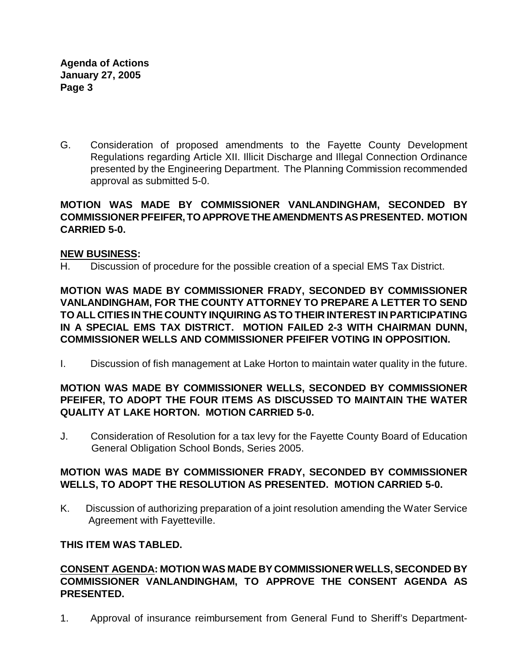G. Consideration of proposed amendments to the Fayette County Development Regulations regarding Article XII. Illicit Discharge and Illegal Connection Ordinance presented by the Engineering Department. The Planning Commission recommended approval as submitted 5-0.

# **MOTION WAS MADE BY COMMISSIONER VANLANDINGHAM, SECONDED BY COMMISSIONER PFEIFER, TO APPROVE THE AMENDMENTS AS PRESENTED. MOTION CARRIED 5-0.**

# **NEW BUSINESS:**

H. Discussion of procedure for the possible creation of a special EMS Tax District.

**MOTION WAS MADE BY COMMISSIONER FRADY, SECONDED BY COMMISSIONER VANLANDINGHAM, FOR THE COUNTY ATTORNEY TO PREPARE A LETTER TO SEND TO ALL CITIES IN THE COUNTY INQUIRING AS TO THEIR INTEREST IN PARTICIPATING IN A SPECIAL EMS TAX DISTRICT. MOTION FAILED 2-3 WITH CHAIRMAN DUNN, COMMISSIONER WELLS AND COMMISSIONER PFEIFER VOTING IN OPPOSITION.**

I. Discussion of fish management at Lake Horton to maintain water quality in the future.

# **MOTION WAS MADE BY COMMISSIONER WELLS, SECONDED BY COMMISSIONER PFEIFER, TO ADOPT THE FOUR ITEMS AS DISCUSSED TO MAINTAIN THE WATER QUALITY AT LAKE HORTON. MOTION CARRIED 5-0.**

J. Consideration of Resolution for a tax levy for the Fayette County Board of Education General Obligation School Bonds, Series 2005.

# **MOTION WAS MADE BY COMMISSIONER FRADY, SECONDED BY COMMISSIONER WELLS, TO ADOPT THE RESOLUTION AS PRESENTED. MOTION CARRIED 5-0.**

K. Discussion of authorizing preparation of a joint resolution amending the Water Service Agreement with Fayetteville.

## **THIS ITEM WAS TABLED.**

## **CONSENT AGENDA: MOTION WAS MADE BY COMMISSIONER WELLS, SECONDED BY COMMISSIONER VANLANDINGHAM, TO APPROVE THE CONSENT AGENDA AS PRESENTED.**

1. Approval of insurance reimbursement from General Fund to Sheriff's Department-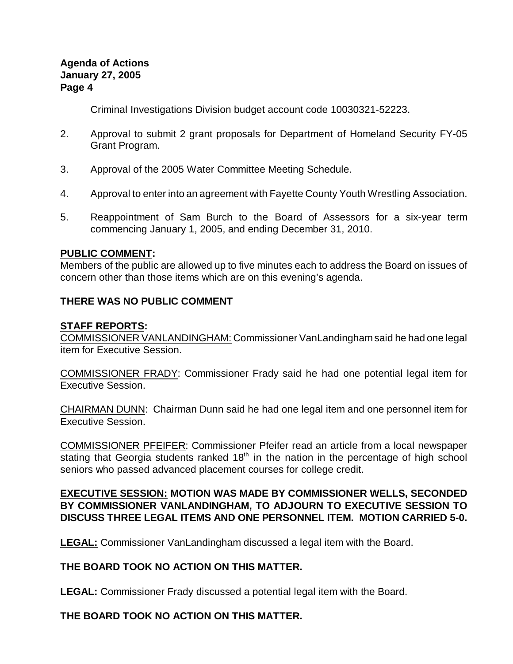Criminal Investigations Division budget account code 10030321-52223.

- 2. Approval to submit 2 grant proposals for Department of Homeland Security FY-05 Grant Program.
- 3. Approval of the 2005 Water Committee Meeting Schedule.
- 4. Approval to enter into an agreement with Fayette County Youth Wrestling Association.
- 5. Reappointment of Sam Burch to the Board of Assessors for a six-year term commencing January 1, 2005, and ending December 31, 2010.

#### **PUBLIC COMMENT:**

Members of the public are allowed up to five minutes each to address the Board on issues of concern other than those items which are on this evening's agenda.

# **THERE WAS NO PUBLIC COMMENT**

#### **STAFF REPORTS:**

COMMISSIONER VANLANDINGHAM: Commissioner VanLandingham said he had one legal item for Executive Session.

COMMISSIONER FRADY: Commissioner Frady said he had one potential legal item for Executive Session.

CHAIRMAN DUNN:Chairman Dunn said he had one legal item and one personnel item for Executive Session.

COMMISSIONER PFEIFER: Commissioner Pfeifer read an article from a local newspaper stating that Georgia students ranked  $18<sup>th</sup>$  in the nation in the percentage of high school seniors who passed advanced placement courses for college credit.

# **EXECUTIVE SESSION: MOTION WAS MADE BY COMMISSIONER WELLS, SECONDED BY COMMISSIONER VANLANDINGHAM, TO ADJOURN TO EXECUTIVE SESSION TO DISCUSS THREE LEGAL ITEMS AND ONE PERSONNEL ITEM. MOTION CARRIED 5-0.**

**LEGAL:** Commissioner VanLandingham discussed a legal item with the Board.

# **THE BOARD TOOK NO ACTION ON THIS MATTER.**

**LEGAL:** Commissioner Frady discussed a potential legal item with the Board.

# **THE BOARD TOOK NO ACTION ON THIS MATTER.**